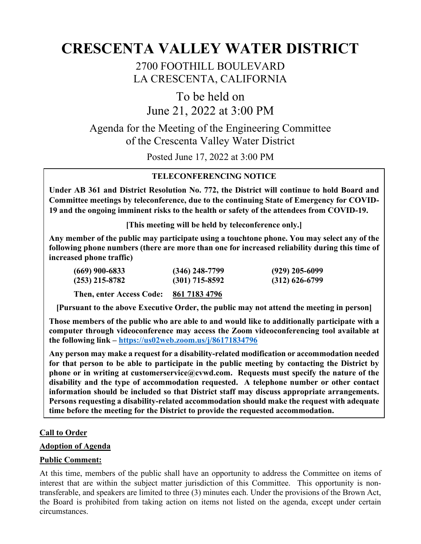# **CRESCENTA VALLEY WATER DISTRICT**

2700 FOOTHILL BOULEVARD LA CRESCENTA, CALIFORNIA

To be held on June 21, 2022 at 3:00 PM

Agenda for the Meeting of the Engineering Committee of the Crescenta Valley Water District

Posted June 17, 2022 at 3:00 PM

# **TELECONFERENCING NOTICE**

**Under AB 361 and District Resolution No. 772, the District will continue to hold Board and Committee meetings by teleconference, due to the continuing State of Emergency for COVID-19 and the ongoing imminent risks to the health or safety of the attendees from COVID-19.** 

**[This meeting will be held by teleconference only.]**

**Any member of the public may participate using a touchtone phone. You may select any of the following phone numbers (there are more than one for increased reliability during this time of increased phone traffic)**

| (669) 900-6833           | $(346)$ 248-7799 | $(929)$ 205-6099 |
|--------------------------|------------------|------------------|
| (253) 215-8782           | $(301)$ 715-8592 | $(312)$ 626-6799 |
| Then, enter Access Code: | 861 7183 4796    |                  |

**[Pursuant to the above Executive Order, the public may not attend the meeting in person]**

**Those members of the public who are able to and would like to additionally participate with a computer through videoconference may access the Zoom videoconferencing tool available at the following link – <https://us02web.zoom.us/j/86171834796>**

**Any person may make a request for a disability-related modification or accommodation needed for that person to be able to participate in the public meeting by contacting the District by phone or in writing at customerservice@cvwd.com. Requests must specify the nature of the disability and the type of accommodation requested. A telephone number or other contact information should be included so that District staff may discuss appropriate arrangements. Persons requesting a disability-related accommodation should make the request with adequate time before the meeting for the District to provide the requested accommodation.**

## **Call to Order**

## **Adoption of Agenda**

## **Public Comment:**

At this time, members of the public shall have an opportunity to address the Committee on items of interest that are within the subject matter jurisdiction of this Committee. This opportunity is nontransferable, and speakers are limited to three (3) minutes each. Under the provisions of the Brown Act, the Board is prohibited from taking action on items not listed on the agenda, except under certain circumstances.